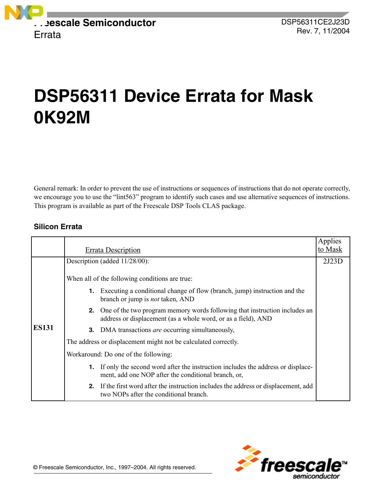

# **DSP56311 Device Errata for Mask 0K92M**

General remark: In order to prevent the use of instructions or sequences of instructions that do not operate correctly, we encourage you to use the "lint563" program to identify such cases and use alternative sequences of instructions. This program is available as part of the Freescale DSP Tools CLAS package.

# **Silicon Errata**

|              | <b>Errata Description</b>                                                                                                                         | Applies<br>to Mask |
|--------------|---------------------------------------------------------------------------------------------------------------------------------------------------|--------------------|
|              | Description (added 11/28/00):                                                                                                                     | 2J23D              |
| <b>ES131</b> | When all of the following conditions are true:                                                                                                    |                    |
|              | <b>1.</b> Executing a conditional change of flow (branch, jump) instruction and the<br>branch or jump is <i>not</i> taken, AND                    |                    |
|              | One of the two program memory words following that instruction includes an<br>2.<br>address or displacement (as a whole word, or as a field), AND |                    |
|              | <b>3.</b> DMA transactions <i>are</i> occurring simultaneously,                                                                                   |                    |
|              | The address or displacement might not be calculated correctly.                                                                                    |                    |
|              | Workaround: Do one of the following:                                                                                                              |                    |
|              | If only the second word after the instruction includes the address or displace-<br>1.<br>ment, add one NOP after the conditional branch, or,      |                    |
|              | If the first word after the instruction includes the address or displacement, add<br>2.<br>two NOPs after the conditional branch.                 |                    |

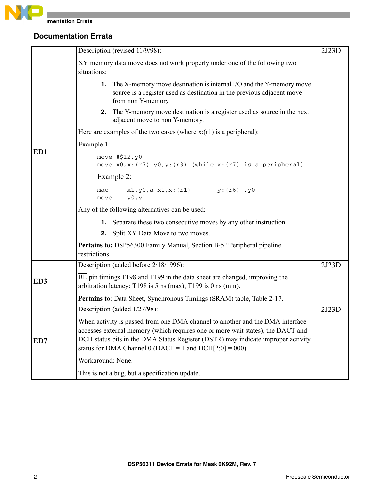

# **Documentation Errata**

|     | Description (revised 11/9/98):                                                                                                                                                                                                                                                                                      | 2J23D |
|-----|---------------------------------------------------------------------------------------------------------------------------------------------------------------------------------------------------------------------------------------------------------------------------------------------------------------------|-------|
|     | XY memory data move does not work properly under one of the following two<br>situations:                                                                                                                                                                                                                            |       |
|     | <b>1.</b> The X-memory move destination is internal I/O and the Y-memory move<br>source is a register used as destination in the previous adjacent move<br>from non Y-memory                                                                                                                                        |       |
|     | <b>2.</b> The Y-memory move destination is a register used as source in the next<br>adjacent move to non Y-memory.                                                                                                                                                                                                  |       |
|     | Here are examples of the two cases (where $x:(r1)$ is a peripheral):                                                                                                                                                                                                                                                |       |
|     | Example 1:                                                                                                                                                                                                                                                                                                          |       |
| ED1 | move #\$12, y0<br>move $x0, x: (r7)$ $y0, y: (r3)$ (while $x: (r7)$ is a peripheral).                                                                                                                                                                                                                               |       |
|     | Example 2:                                                                                                                                                                                                                                                                                                          |       |
|     | $x1, y0, a x1, x: (r1)+ y: (r6)+, y0$<br>mac<br>y0, y1<br>move                                                                                                                                                                                                                                                      |       |
|     | Any of the following alternatives can be used:                                                                                                                                                                                                                                                                      |       |
|     | <b>1.</b> Separate these two consecutive moves by any other instruction.                                                                                                                                                                                                                                            |       |
|     | <b>2.</b> Split XY Data Move to two moves.                                                                                                                                                                                                                                                                          |       |
|     | <b>Pertains to:</b> DSP56300 Family Manual, Section B-5 "Peripheral pipeline<br>restrictions.                                                                                                                                                                                                                       |       |
|     | Description (added before 2/18/1996):                                                                                                                                                                                                                                                                               | 2J23D |
| ED3 | $\overline{BL}$ pin timings T198 and T199 in the data sheet are changed, improving the<br>arbitration latency: T198 is $5$ ns (max), T199 is 0 ns (min).                                                                                                                                                            |       |
|     | Pertains to: Data Sheet, Synchronous Timings (SRAM) table, Table 2-17.                                                                                                                                                                                                                                              |       |
|     | Description (added 1/27/98):                                                                                                                                                                                                                                                                                        | 2J23D |
| ED7 | When activity is passed from one DMA channel to another and the DMA interface<br>accesses external memory (which requires one or more wait states), the DACT and<br>DCH status bits in the DMA Status Register (DSTR) may indicate improper activity<br>status for DMA Channel 0 (DACT = 1 and DCH $[2:0] = 000$ ). |       |
|     | Workaround: None.                                                                                                                                                                                                                                                                                                   |       |
|     | This is not a bug, but a specification update.                                                                                                                                                                                                                                                                      |       |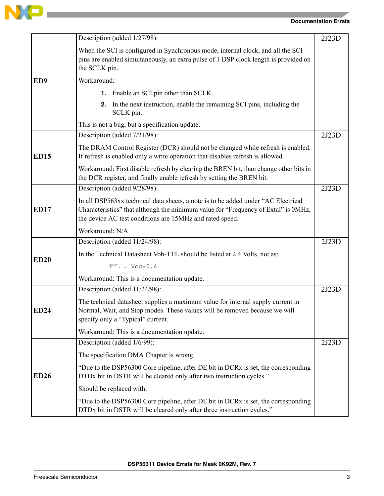

|                 | Description (added 1/27/98):                                                                                                                                                                                                        | 2J23D |
|-----------------|-------------------------------------------------------------------------------------------------------------------------------------------------------------------------------------------------------------------------------------|-------|
|                 | When the SCI is configured in Synchronous mode, internal clock, and all the SCI<br>pins are enabled simultaneously, an extra pulse of 1 DSP clock length is provided on<br>the SCLK pin.                                            |       |
| ED <sub>9</sub> | Workaround:                                                                                                                                                                                                                         |       |
|                 | <b>1.</b> Enable an SCI pin other than SCLK.                                                                                                                                                                                        |       |
|                 | <b>2.</b> In the next instruction, enable the remaining SCI pins, including the<br>SCLK pin.                                                                                                                                        |       |
|                 | This is not a bug, but a specification update.                                                                                                                                                                                      |       |
|                 | Description (added 7/21/98):                                                                                                                                                                                                        | 2J23D |
| <b>ED15</b>     | The DRAM Control Register (DCR) should not be changed while refresh is enabled.<br>If refresh is enabled only a write operation that disables refresh is allowed.                                                                   |       |
|                 | Workaround: First disable refresh by clearing the BREN bit, than change other bits in<br>the DCR register, and finally enable refresh by setting the BREN bit.                                                                      |       |
|                 | Description (added 9/28/98):                                                                                                                                                                                                        | 2J23D |
| <b>ED17</b>     | In all DSP563xx technical data sheets, a note is to be added under "AC Electrical<br>Characteristics" that although the minimum value for "Frequency of Extal" is 0MHz,<br>the device AC test conditions are 15MHz and rated speed. |       |
|                 | Workaround: N/A                                                                                                                                                                                                                     |       |
|                 | Description (added 11/24/98):                                                                                                                                                                                                       | 2J23D |
| <b>ED20</b>     | In the Technical Datasheet Voh-TTL should be listed at 2.4 Volts, not as:                                                                                                                                                           |       |
|                 | $TTL = Vcc-0.4$                                                                                                                                                                                                                     |       |
|                 | Workaround: This is a documentation update.                                                                                                                                                                                         |       |
|                 | Description (added 11/24/98):                                                                                                                                                                                                       | 2J23D |
| <b>ED24</b>     | The technical datasheet supplies a maximum value for internal supply current in<br>Normal, Wait, and Stop modes. These values will be removed because we will<br>specify only a "Typical" current.                                  |       |
|                 | Workaround: This is a documentation update.                                                                                                                                                                                         |       |
| <b>ED26</b>     | Description (added 1/6/99):                                                                                                                                                                                                         | 2J23D |
|                 | The specification DMA Chapter is wrong.                                                                                                                                                                                             |       |
|                 | "Due to the DSP56300 Core pipeline, after DE bit in DCRx is set, the corresponding<br>DTDx bit in DSTR will be cleared only after two instruction cycles."                                                                          |       |
|                 | Should be replaced with:                                                                                                                                                                                                            |       |
|                 | "Due to the DSP56300 Core pipeline, after DE bit in DCRx is set, the corresponding<br>DTDx bit in DSTR will be cleared only after three instruction cycles."                                                                        |       |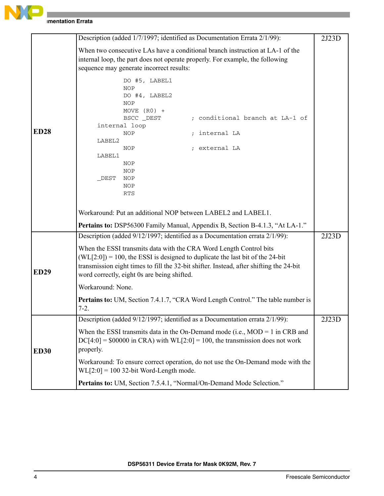

|             | Description (added 1/7/1997; identified as Documentation Errata 2/1/99):                                                                                                                                                                                                                                                                                                                                                                 | 2J23D |
|-------------|------------------------------------------------------------------------------------------------------------------------------------------------------------------------------------------------------------------------------------------------------------------------------------------------------------------------------------------------------------------------------------------------------------------------------------------|-------|
|             | When two consecutive LAs have a conditional branch instruction at LA-1 of the<br>internal loop, the part does not operate properly. For example, the following<br>sequence may generate incorrect results:                                                                                                                                                                                                                               |       |
| <b>ED28</b> | DO #5, LABEL1<br><b>NOP</b><br>DO #4, LABEL2<br><b>NOP</b><br>MOVE $(R0)$ +<br>; conditional branch at LA-1 of<br>BSCC _DEST<br>internal loop<br><b>NOP</b><br>; internal LA<br>LABEL2<br>; external LA<br>NOP<br>LABEL1<br><b>NOP</b><br>NOP<br>NOP<br>DEST<br><b>NOP</b><br>RTS<br>Workaround: Put an additional NOP between LABEL2 and LABEL1.<br><b>Pertains to:</b> DSP56300 Family Manual, Appendix B, Section B-4.1.3, "At LA-1." |       |
|             | Description (added 9/12/1997; identified as a Documentation errata 2/1/99):                                                                                                                                                                                                                                                                                                                                                              | 2J23D |
| <b>ED29</b> | When the ESSI transmits data with the CRA Word Length Control bits<br>$(WL[2:0]) = 100$ , the ESSI is designed to duplicate the last bit of the 24-bit<br>transmission eight times to fill the 32-bit shifter. Instead, after shifting the 24-bit<br>word correctly, eight 0s are being shifted.                                                                                                                                         |       |
|             | Workaround: None.                                                                                                                                                                                                                                                                                                                                                                                                                        |       |
|             | <b>Pertains to:</b> UM, Section 7.4.1.7, "CRA Word Length Control." The table number is<br>$7 - 2.$                                                                                                                                                                                                                                                                                                                                      |       |
|             | Description (added 9/12/1997; identified as a Documentation errata 2/1/99):                                                                                                                                                                                                                                                                                                                                                              | 2J23D |
| <b>ED30</b> | When the ESSI transmits data in the On-Demand mode (i.e., $MOD = 1$ in CRB and<br>$DC[4:0] = $00000$ in CRA) with WL[2:0] = 100, the transmission does not work<br>properly.                                                                                                                                                                                                                                                             |       |
|             | Workaround: To ensure correct operation, do not use the On-Demand mode with the<br>$WL[2:0] = 100$ 32-bit Word-Length mode.                                                                                                                                                                                                                                                                                                              |       |
|             | Pertains to: UM, Section 7.5.4.1, "Normal/On-Demand Mode Selection."                                                                                                                                                                                                                                                                                                                                                                     |       |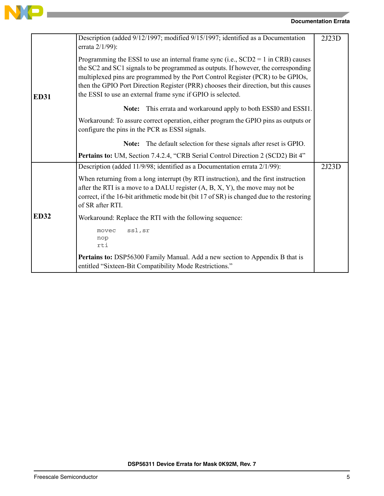

the control of the control of the control of the control of the control of

## **Documentation Errata**

|             | Description (added 9/12/1997; modified 9/15/1997; identified as a Documentation<br>errata 2/1/99):                                                                                                                                                                                                                                                                                                                  | 2J23D |
|-------------|---------------------------------------------------------------------------------------------------------------------------------------------------------------------------------------------------------------------------------------------------------------------------------------------------------------------------------------------------------------------------------------------------------------------|-------|
| <b>ED31</b> | Programming the ESSI to use an internal frame sync (i.e., $SCD2 = 1$ in CRB) causes<br>the SC2 and SC1 signals to be programmed as outputs. If however, the corresponding<br>multiplexed pins are programmed by the Port Control Register (PCR) to be GPIOs,<br>then the GPIO Port Direction Register (PRR) chooses their direction, but this causes<br>the ESSI to use an external frame sync if GPIO is selected. |       |
|             | This errata and workaround apply to both ESSI0 and ESSI1.<br>Note:                                                                                                                                                                                                                                                                                                                                                  |       |
|             | Workaround: To assure correct operation, either program the GPIO pins as outputs or<br>configure the pins in the PCR as ESSI signals.                                                                                                                                                                                                                                                                               |       |
|             | The default selection for these signals after reset is GPIO.<br>Note:                                                                                                                                                                                                                                                                                                                                               |       |
|             | Pertains to: UM, Section 7.4.2.4, "CRB Serial Control Direction 2 (SCD2) Bit 4"                                                                                                                                                                                                                                                                                                                                     |       |
|             | Description (added 11/9/98; identified as a Documentation errata 2/1/99):                                                                                                                                                                                                                                                                                                                                           | 2J23D |
|             | When returning from a long interrupt (by RTI instruction), and the first instruction<br>after the RTI is a move to a DALU register $(A, B, X, Y)$ , the move may not be<br>correct, if the 16-bit arithmetic mode bit (bit 17 of SR) is changed due to the restoring<br>of SR after RTI.                                                                                                                            |       |
| <b>ED32</b> | Workaround: Replace the RTI with the following sequence:                                                                                                                                                                                                                                                                                                                                                            |       |
|             | ssl, sr<br>movec<br>nop<br>rti                                                                                                                                                                                                                                                                                                                                                                                      |       |
|             | Pertains to: DSP56300 Family Manual. Add a new section to Appendix B that is<br>entitled "Sixteen-Bit Compatibility Mode Restrictions."                                                                                                                                                                                                                                                                             |       |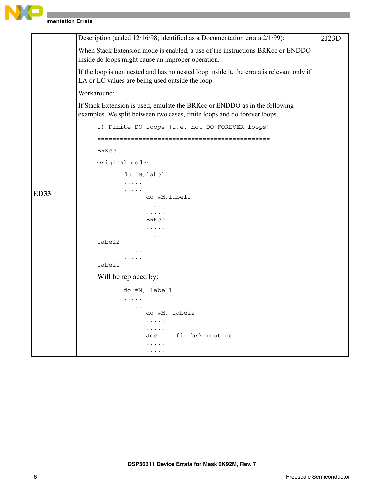

**Imentation Errata** 

| Description (added 12/16/98; identified as a Documentation errata 2/1/99):<br>2J23D<br>When Stack Extension mode is enabled, a use of the instructions BRKcc or ENDDO<br>inside do loops might cause an improper operation.<br>If the loop is non nested and has no nested loop inside it, the errata is relevant only if<br>LA or LC values are being used outside the loop.<br>Workaround:<br>If Stack Extension is used, emulate the BRKcc or ENDDO as in the following<br>examples. We split between two cases, finite loops and do forever loops.<br>1) Finite DO loops (i.e. not DO FOREVER loops)<br><b>BRKCC</b><br>Original code:<br>do #N, label1<br>.<br>.<br><b>ED33</b><br>do #M, label2<br>$\cdots$<br>$\cdots$<br>BRKCC<br>.<br>label2<br>.<br>label1<br>Will be replaced by:<br>do #N, label1<br>.<br>.<br>do #M, label2<br>.<br>.<br>fix brk routine<br>Jcc<br>. |  |  |
|-----------------------------------------------------------------------------------------------------------------------------------------------------------------------------------------------------------------------------------------------------------------------------------------------------------------------------------------------------------------------------------------------------------------------------------------------------------------------------------------------------------------------------------------------------------------------------------------------------------------------------------------------------------------------------------------------------------------------------------------------------------------------------------------------------------------------------------------------------------------------------------|--|--|
|                                                                                                                                                                                                                                                                                                                                                                                                                                                                                                                                                                                                                                                                                                                                                                                                                                                                                   |  |  |
|                                                                                                                                                                                                                                                                                                                                                                                                                                                                                                                                                                                                                                                                                                                                                                                                                                                                                   |  |  |
|                                                                                                                                                                                                                                                                                                                                                                                                                                                                                                                                                                                                                                                                                                                                                                                                                                                                                   |  |  |
|                                                                                                                                                                                                                                                                                                                                                                                                                                                                                                                                                                                                                                                                                                                                                                                                                                                                                   |  |  |
|                                                                                                                                                                                                                                                                                                                                                                                                                                                                                                                                                                                                                                                                                                                                                                                                                                                                                   |  |  |
|                                                                                                                                                                                                                                                                                                                                                                                                                                                                                                                                                                                                                                                                                                                                                                                                                                                                                   |  |  |
|                                                                                                                                                                                                                                                                                                                                                                                                                                                                                                                                                                                                                                                                                                                                                                                                                                                                                   |  |  |
|                                                                                                                                                                                                                                                                                                                                                                                                                                                                                                                                                                                                                                                                                                                                                                                                                                                                                   |  |  |
|                                                                                                                                                                                                                                                                                                                                                                                                                                                                                                                                                                                                                                                                                                                                                                                                                                                                                   |  |  |
|                                                                                                                                                                                                                                                                                                                                                                                                                                                                                                                                                                                                                                                                                                                                                                                                                                                                                   |  |  |
|                                                                                                                                                                                                                                                                                                                                                                                                                                                                                                                                                                                                                                                                                                                                                                                                                                                                                   |  |  |
|                                                                                                                                                                                                                                                                                                                                                                                                                                                                                                                                                                                                                                                                                                                                                                                                                                                                                   |  |  |
|                                                                                                                                                                                                                                                                                                                                                                                                                                                                                                                                                                                                                                                                                                                                                                                                                                                                                   |  |  |
|                                                                                                                                                                                                                                                                                                                                                                                                                                                                                                                                                                                                                                                                                                                                                                                                                                                                                   |  |  |
|                                                                                                                                                                                                                                                                                                                                                                                                                                                                                                                                                                                                                                                                                                                                                                                                                                                                                   |  |  |
|                                                                                                                                                                                                                                                                                                                                                                                                                                                                                                                                                                                                                                                                                                                                                                                                                                                                                   |  |  |
|                                                                                                                                                                                                                                                                                                                                                                                                                                                                                                                                                                                                                                                                                                                                                                                                                                                                                   |  |  |
|                                                                                                                                                                                                                                                                                                                                                                                                                                                                                                                                                                                                                                                                                                                                                                                                                                                                                   |  |  |
|                                                                                                                                                                                                                                                                                                                                                                                                                                                                                                                                                                                                                                                                                                                                                                                                                                                                                   |  |  |
|                                                                                                                                                                                                                                                                                                                                                                                                                                                                                                                                                                                                                                                                                                                                                                                                                                                                                   |  |  |
|                                                                                                                                                                                                                                                                                                                                                                                                                                                                                                                                                                                                                                                                                                                                                                                                                                                                                   |  |  |
|                                                                                                                                                                                                                                                                                                                                                                                                                                                                                                                                                                                                                                                                                                                                                                                                                                                                                   |  |  |
|                                                                                                                                                                                                                                                                                                                                                                                                                                                                                                                                                                                                                                                                                                                                                                                                                                                                                   |  |  |
|                                                                                                                                                                                                                                                                                                                                                                                                                                                                                                                                                                                                                                                                                                                                                                                                                                                                                   |  |  |
|                                                                                                                                                                                                                                                                                                                                                                                                                                                                                                                                                                                                                                                                                                                                                                                                                                                                                   |  |  |
|                                                                                                                                                                                                                                                                                                                                                                                                                                                                                                                                                                                                                                                                                                                                                                                                                                                                                   |  |  |
|                                                                                                                                                                                                                                                                                                                                                                                                                                                                                                                                                                                                                                                                                                                                                                                                                                                                                   |  |  |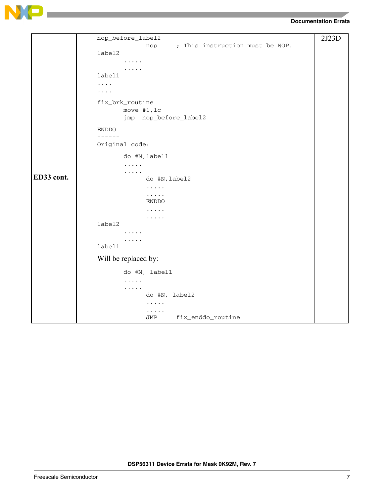

# **Documentation Errata**

|            | nop_before_label2                      | 2J23D |
|------------|----------------------------------------|-------|
|            | ; This instruction must be NOP.<br>nop |       |
|            | label2                                 |       |
|            |                                        |       |
|            | $\cdots$<br>label1                     |       |
|            | $\cdots$                               |       |
|            | $\cdots$                               |       |
|            | fix_brk_routine                        |       |
|            | move #1, lc                            |       |
|            | jmp nop_before_label2                  |       |
|            | <b>ENDDO</b>                           |       |
|            | -------<br>Original code:              |       |
|            | do #M, label1                          |       |
|            | .                                      |       |
| ED33 cont. | .<br>do #N, label2                     |       |
|            | $\cdots$                               |       |
|            | .                                      |       |
|            | <b>ENDDO</b>                           |       |
|            | .                                      |       |
|            | .<br>label2                            |       |
|            |                                        |       |
|            | $\cdots\cdots\cdots$                   |       |
|            | label1                                 |       |
|            | Will be replaced by:                   |       |
|            | do #M, label1                          |       |
|            | $\cdots$                               |       |
|            | .<br>do #N, label2                     |       |
|            | .                                      |       |
|            | .                                      |       |
|            | fix_enddo_routine<br>JMP               |       |

and the control of the control of the control of the control of the control of the control of the control of the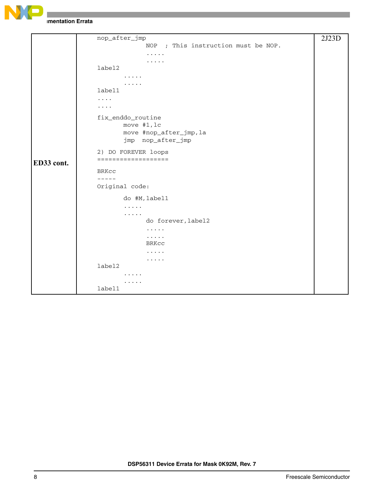

**Imentation Errata** 

```
ED33 cont.
     nop_after_jmp
                   NOP ; This instruction must be NOP.
                   .....
                   .....
     label2
            .....
             .....
     label1
     ....
     ....
     fix_enddo_routine
            move #1,lc
            move #nop_after_jmp,la
            jmp nop_after_jmp
     2) DO FOREVER loops
     ===================
     BRKcc
     -----
     Original code:
            do #M,label1
             .....
             .....
                   do forever,label2
                   .....
                   .....
                  BRKcc
                   .....
                   .....
     label2
             .....
             .....
     label1
                                                                    2J23D
```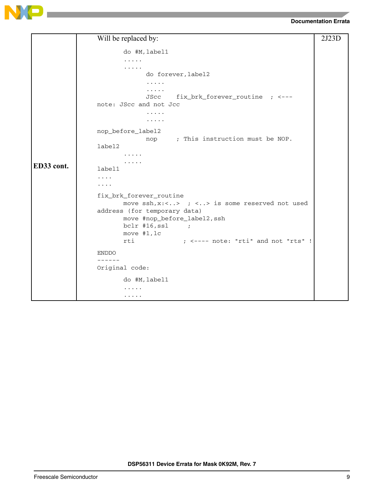



|            | Will be replaced by:                                            | 2J23D |
|------------|-----------------------------------------------------------------|-------|
|            | do #M, label1                                                   |       |
|            | .                                                               |       |
|            | .                                                               |       |
|            | do forever, label2                                              |       |
|            | .<br>.                                                          |       |
|            | fix_brk_forever_routine ; <---<br>JScc                          |       |
|            | note: JScc and not Jcc                                          |       |
|            | .                                                               |       |
|            | $\cdots\cdots\cdots$                                            |       |
|            | nop_before_label2                                               |       |
|            | nop ; This instruction must be NOP.                             |       |
|            | label2                                                          |       |
|            | .<br>.                                                          |       |
| ED33 cont. | label1                                                          |       |
|            | .                                                               |       |
|            | .                                                               |       |
|            | fix_brk_forever_routine                                         |       |
|            | move $\operatorname{ssh}$ , x:<> ; <> is some reserved not used |       |
|            | address (for temporary data)                                    |       |
|            | move #nop_before_label2, ssh<br>$bc1r$ #16,ssl                  |       |
|            | $\overline{\phantom{a}}$<br>move #1, lc                         |       |
|            | ; <---- note: "rti" and not "rts" !<br>rti                      |       |
|            | <b>ENDDO</b>                                                    |       |
|            | -------                                                         |       |
|            | Original code:                                                  |       |
|            | do #M, label1                                                   |       |
|            | .                                                               |       |
|            | .                                                               |       |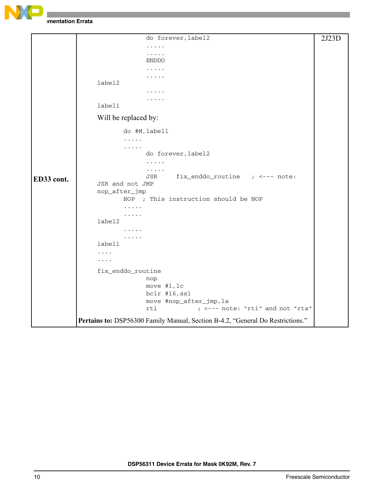

**Imentation Errata** 

|            | do forever, label2                                                             | 2J23D |
|------------|--------------------------------------------------------------------------------|-------|
|            | .                                                                              |       |
|            |                                                                                |       |
|            | <b>ENDDO</b>                                                                   |       |
|            |                                                                                |       |
|            | label2                                                                         |       |
|            |                                                                                |       |
|            |                                                                                |       |
|            | label1                                                                         |       |
|            | Will be replaced by:                                                           |       |
|            | do #M, label1                                                                  |       |
|            | .                                                                              |       |
|            | .                                                                              |       |
|            | do forever, label2                                                             |       |
|            | .                                                                              |       |
|            | .<br>fix_enddo_routine ; <--- note:<br>JSR                                     |       |
| ED33 cont. | JSR and not JMP                                                                |       |
|            | nop_after_jmp                                                                  |       |
|            | NOP ; This instruction should be NOP                                           |       |
|            |                                                                                |       |
|            | .                                                                              |       |
|            | label2                                                                         |       |
|            |                                                                                |       |
|            | .<br>label1                                                                    |       |
|            | .                                                                              |       |
|            | .                                                                              |       |
|            |                                                                                |       |
|            | fix_enddo_routine<br>nop                                                       |       |
|            | move #1, lc                                                                    |       |
|            | bclr #16, ssl                                                                  |       |
|            | move #nop_after_jmp, la                                                        |       |
|            | ; <--- note: "rti" and not "rts"<br>rti                                        |       |
|            | Pertains to: DSP56300 Family Manual, Section B-4.2, "General Do Restrictions." |       |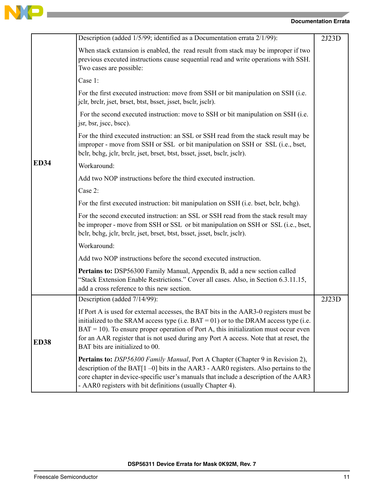

the control of the control of the control of the

## **Documentation Errata**

|             | Description (added 1/5/99; identified as a Documentation errata 2/1/99):                                                                                                                                                                                                                                                                                                                                 | 2J23D |
|-------------|----------------------------------------------------------------------------------------------------------------------------------------------------------------------------------------------------------------------------------------------------------------------------------------------------------------------------------------------------------------------------------------------------------|-------|
|             | When stack extansion is enabled, the read result from stack may be improper if two<br>previous executed instructions cause sequential read and write operations with SSH.<br>Two cases are possible:                                                                                                                                                                                                     |       |
|             | Case 1:                                                                                                                                                                                                                                                                                                                                                                                                  |       |
|             | For the first executed instruction: move from SSH or bit manipulation on SSH (i.e.<br>jelr, brelr, jset, brset, btst, bsset, jsset, bselr, jselr).                                                                                                                                                                                                                                                       |       |
|             | For the second executed instruction: move to SSH or bit manipulation on SSH (i.e.<br>jsr, bsr, jscc, bscc).                                                                                                                                                                                                                                                                                              |       |
|             | For the third executed instruction: an SSL or SSH read from the stack result may be<br>improper - move from SSH or SSL or bit manipulation on SSH or SSL (i.e., bset,<br>belr, behg, jelr, brelr, jset, brset, btst, bsset, jsset, bselr, jselr).                                                                                                                                                        |       |
| <b>ED34</b> | Workaround:                                                                                                                                                                                                                                                                                                                                                                                              |       |
|             | Add two NOP instructions before the third executed instruction.                                                                                                                                                                                                                                                                                                                                          |       |
|             | Case 2:                                                                                                                                                                                                                                                                                                                                                                                                  |       |
|             | For the first executed instruction: bit manipulation on SSH (i.e. bset, bclr, bchg).                                                                                                                                                                                                                                                                                                                     |       |
|             | For the second executed instruction: an SSL or SSH read from the stack result may<br>be improper - move from SSH or SSL or bit manipulation on SSH or SSL (i.e., bset,<br>belr, behg, jelr, brelr, jset, brset, btst, bsset, jsset, bselr, jselr).                                                                                                                                                       |       |
|             | Workaround:                                                                                                                                                                                                                                                                                                                                                                                              |       |
|             | Add two NOP instructions before the second executed instruction.                                                                                                                                                                                                                                                                                                                                         |       |
|             | Pertains to: DSP56300 Family Manual, Appendix B, add a new section called<br>"Stack Extension Enable Restrictions." Cover all cases. Also, in Section 6.3.11.15,<br>add a cross reference to this new section.                                                                                                                                                                                           |       |
|             | Description (added 7/14/99):                                                                                                                                                                                                                                                                                                                                                                             | 2J23D |
| <b>ED38</b> | If Port A is used for external accesses, the BAT bits in the AAR3-0 registers must be<br>initialized to the SRAM access type (i.e. $BAT = 01$ ) or to the DRAM access type (i.e.<br>$BAT = 10$ ). To ensure proper operation of Port A, this initialization must occur even<br>for an AAR register that is not used during any Port A access. Note that at reset, the<br>BAT bits are initialized to 00. |       |
|             | Pertains to: DSP56300 Family Manual, Port A Chapter (Chapter 9 in Revision 2),<br>description of the BAT $[1 - 0]$ bits in the AAR3 - AAR0 registers. Also pertains to the<br>core chapter in device-specific user's manuals that include a description of the AAR3<br>- AAR0 registers with bit definitions (usually Chapter 4).                                                                        |       |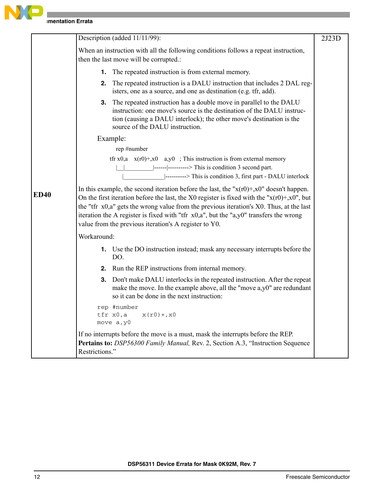

|             | Description (added 11/11/99):                                                                                                                                                                                                                                                                                                                                                                                                                                     | 2J23D |
|-------------|-------------------------------------------------------------------------------------------------------------------------------------------------------------------------------------------------------------------------------------------------------------------------------------------------------------------------------------------------------------------------------------------------------------------------------------------------------------------|-------|
|             | When an instruction with all the following conditions follows a repeat instruction,<br>then the last move will be corrupted.:                                                                                                                                                                                                                                                                                                                                     |       |
|             | <b>1.</b> The repeated instruction is from external memory.                                                                                                                                                                                                                                                                                                                                                                                                       |       |
|             | <b>2.</b> The repeated instruction is a DALU instruction that includes 2 DAL reg-<br>isters, one as a source, and one as destination (e.g. tfr, add).                                                                                                                                                                                                                                                                                                             |       |
|             | The repeated instruction has a double move in parallel to the DALU<br>3.<br>instruction: one move's source is the destination of the DALU instruc-<br>tion (causing a DALU interlock); the other move's destination is the<br>source of the DALU instruction.                                                                                                                                                                                                     |       |
|             | Example:                                                                                                                                                                                                                                                                                                                                                                                                                                                          |       |
|             | rep #number                                                                                                                                                                                                                                                                                                                                                                                                                                                       |       |
|             | tfr x0,a $x(r0)+,x0$ a,y0 ; This instruction is from external memory                                                                                                                                                                                                                                                                                                                                                                                              |       |
|             |                                                                                                                                                                                                                                                                                                                                                                                                                                                                   |       |
|             | ---------> This is condition 3, first part - DALU interlock                                                                                                                                                                                                                                                                                                                                                                                                       |       |
| <b>ED40</b> | In this example, the second iteration before the last, the " $x(r0) + x0$ " doesn't happen.<br>On the first iteration before the last, the X0 register is fixed with the " $x(r0) + x0$ ", but<br>the "tfr $x0$ , a" gets the wrong value from the previous iteration's $X0$ . Thus, at the last<br>iteration the A register is fixed with "tfr $x0$ , $a$ ", but the " $a$ , $y0$ " transfers the wrong<br>value from the previous iteration's A register to Y0. |       |
|             | Workaround:                                                                                                                                                                                                                                                                                                                                                                                                                                                       |       |
|             | 1. Use the DO instruction instead; mask any necessary interrupts before the<br>DO.                                                                                                                                                                                                                                                                                                                                                                                |       |
|             | 2. Run the REP instructions from internal memory.                                                                                                                                                                                                                                                                                                                                                                                                                 |       |
|             | Don't make DALU interlocks in the repeated instruction. After the repeat<br>3.<br>make the move. In the example above, all the "move a,y0" are redundant<br>so it can be done in the next instruction:                                                                                                                                                                                                                                                            |       |
|             | rep #number<br>tfr x0,a<br>$x(r0) + x0$<br>move a, y0                                                                                                                                                                                                                                                                                                                                                                                                             |       |
|             | If no interrupts before the move is a must, mask the interrupts before the REP.<br>Pertains to: DSP56300 Family Manual, Rev. 2, Section A.3, "Instruction Sequence<br>Restrictions."                                                                                                                                                                                                                                                                              |       |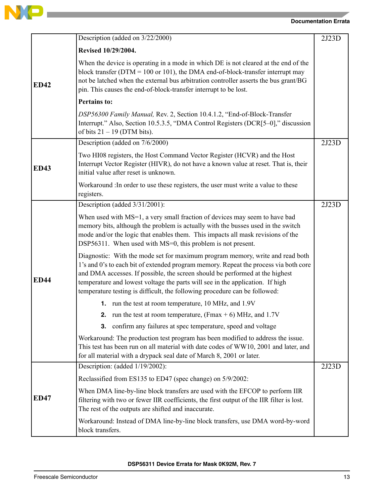

the control of the control of the control of the

## **Documentation Errata**

|             | Description (added on 3/22/2000)                                                                                                                                                                                                                                                                                                                                                                                     | 2J23D |
|-------------|----------------------------------------------------------------------------------------------------------------------------------------------------------------------------------------------------------------------------------------------------------------------------------------------------------------------------------------------------------------------------------------------------------------------|-------|
| <b>ED42</b> | Revised 10/29/2004.                                                                                                                                                                                                                                                                                                                                                                                                  |       |
|             | When the device is operating in a mode in which DE is not cleared at the end of the<br>block transfer ( $DTM = 100$ or 101), the DMA end-of-block-transfer interrupt may<br>not be latched when the external bus arbitration controller asserts the bus grant/BG<br>pin. This causes the end-of-block-transfer interrupt to be lost.                                                                                 |       |
|             | <b>Pertains to:</b>                                                                                                                                                                                                                                                                                                                                                                                                  |       |
|             | DSP56300 Family Manual, Rev. 2, Section 10.4.1.2, "End-of-Block-Transfer<br>Interrupt." Also, Section 10.5.3.5, "DMA Control Registers (DCR[5-0]," discussion<br>of bits $21 - 19$ (DTM bits).                                                                                                                                                                                                                       |       |
|             | Description (added on 7/6/2000)                                                                                                                                                                                                                                                                                                                                                                                      | 2J23D |
| <b>ED43</b> | Two HI08 registers, the Host Command Vector Register (HCVR) and the Host<br>Interrupt Vector Register (HIVR), do not have a known value at reset. That is, their<br>initial value after reset is unknown.                                                                                                                                                                                                            |       |
|             | Workaround : In order to use these registers, the user must write a value to these<br>registers.                                                                                                                                                                                                                                                                                                                     |       |
| <b>ED44</b> | Description (added 3/31/2001):                                                                                                                                                                                                                                                                                                                                                                                       | 2J23D |
|             | When used with MS=1, a very small fraction of devices may seem to have bad<br>memory bits, although the problem is actually with the busses used in the switch<br>mode and/or the logic that enables them. This impacts all mask revisions of the<br>DSP56311. When used with MS=0, this problem is not present.                                                                                                     |       |
|             | Diagnostic: With the mode set for maximum program memory, write and read both<br>1's and 0's to each bit of extended program memory. Repeat the process via both core<br>and DMA accesses. If possible, the screen should be performed at the highest<br>temperature and lowest voltage the parts will see in the application. If high<br>temperature testing is difficult, the following procedure can be followed: |       |
|             | 1. run the test at room temperature, 10 MHz, and 1.9V                                                                                                                                                                                                                                                                                                                                                                |       |
|             | 2. run the test at room temperature, $(Fmax + 6)$ MHz, and 1.7V                                                                                                                                                                                                                                                                                                                                                      |       |
|             | confirm any failures at spec temperature, speed and voltage<br>3.                                                                                                                                                                                                                                                                                                                                                    |       |
|             | Workaround: The production test program has been modified to address the issue.<br>This test has been run on all material with date codes of WW10, 2001 and later, and<br>for all material with a drypack seal date of March 8, 2001 or later.                                                                                                                                                                       |       |
| <b>ED47</b> | Description: (added 1/19/2002):                                                                                                                                                                                                                                                                                                                                                                                      | 2J23D |
|             | Reclassified from ES135 to ED47 (spec change) on 5/9/2002:                                                                                                                                                                                                                                                                                                                                                           |       |
|             | When DMA line-by-line block transfers are used with the EFCOP to perform IIR<br>filtering with two or fewer IIR coefficients, the first output of the IIR filter is lost.<br>The rest of the outputs are shifted and inaccurate.                                                                                                                                                                                     |       |
|             | Workaround: Instead of DMA line-by-line block transfers, use DMA word-by-word<br>block transfers.                                                                                                                                                                                                                                                                                                                    |       |

**DSP56311 Device Errata for Mask 0K92M, Rev. 7**